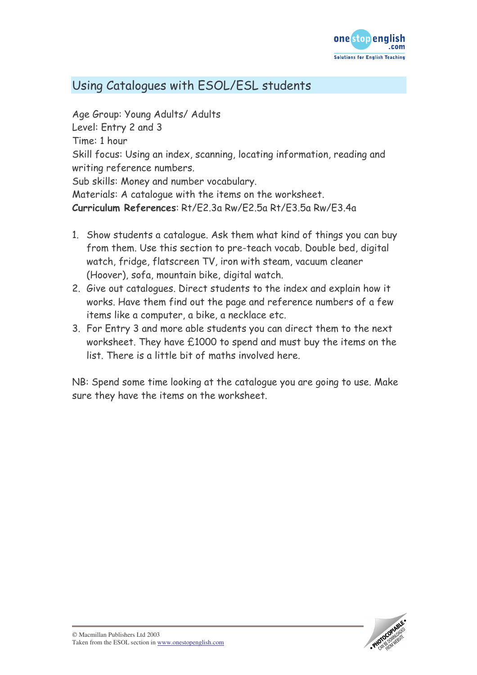

## Using Catalogues with ESOL/ESL students

Age Group: Young Adults/ Adults Level: Entry 2 and 3 Time: 1 hour Skill focus: Using an index, scanning, locating information, reading and writing reference numbers. Sub skills: Money and number vocabulary. Materials: A catalogue with the items on the worksheet. Curriculum References: Rt/F2.3a Rw/F2.5a Rt/F3.5a Rw/F3.4a

- 1. Show students a catalogue. Ask them what kind of things you can buy from them. Use this section to pre-teach vocab. Double bed, digital watch, fridge, flatscreen TV, iron with steam, vacuum cleaner (Hoover), sofa, mountain bike, digital watch.
- 2. Give out catalogues. Direct students to the index and explain how it works. Have them find out the page and reference numbers of a few items like a computer, a bike, a necklace etc.
- 3. For Entry 3 and more able students you can direct them to the next worksheet. They have £1000 to spend and must buy the items on the list. There is a little bit of maths involved here.

NB: Spend some time looking at the catalogue you are going to use. Make sure they have the items on the worksheet.

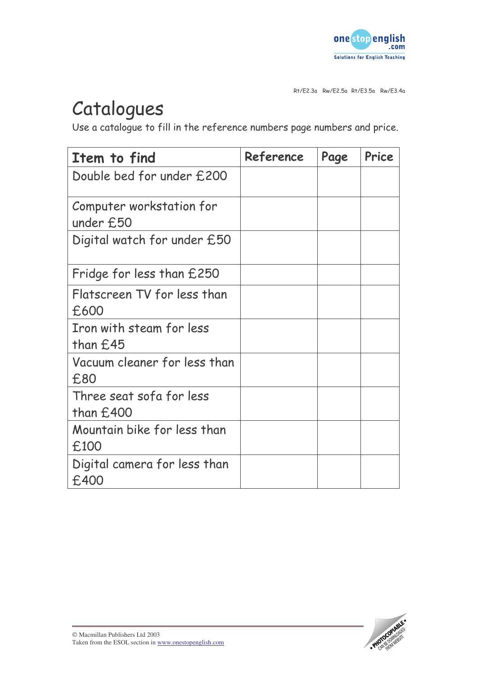

Rt/E2.3a Rw/E2.5a Rt/E3.5a Rw/E3.4a

## Catalogues

Use a catalogue to fill in the reference numbers page numbers and price.

| Item to find                            | Reference | Page | Price |
|-----------------------------------------|-----------|------|-------|
| Double bed for under £200               |           |      |       |
| Computer workstation for<br>under £50   |           |      |       |
| Digital watch for under £50             |           |      |       |
| Fridge for less than £250               |           |      |       |
| Flatscreen TV for less than<br>£600     |           |      |       |
| Iron with steam for less<br>than £45    |           |      |       |
| Vacuum cleaner for less than<br>£80     |           |      |       |
| Three seat sofa for less<br>than $£400$ |           |      |       |
| Mountain bike for less than<br>£100     |           |      |       |
| Digital camera for less than<br>£400    |           |      |       |